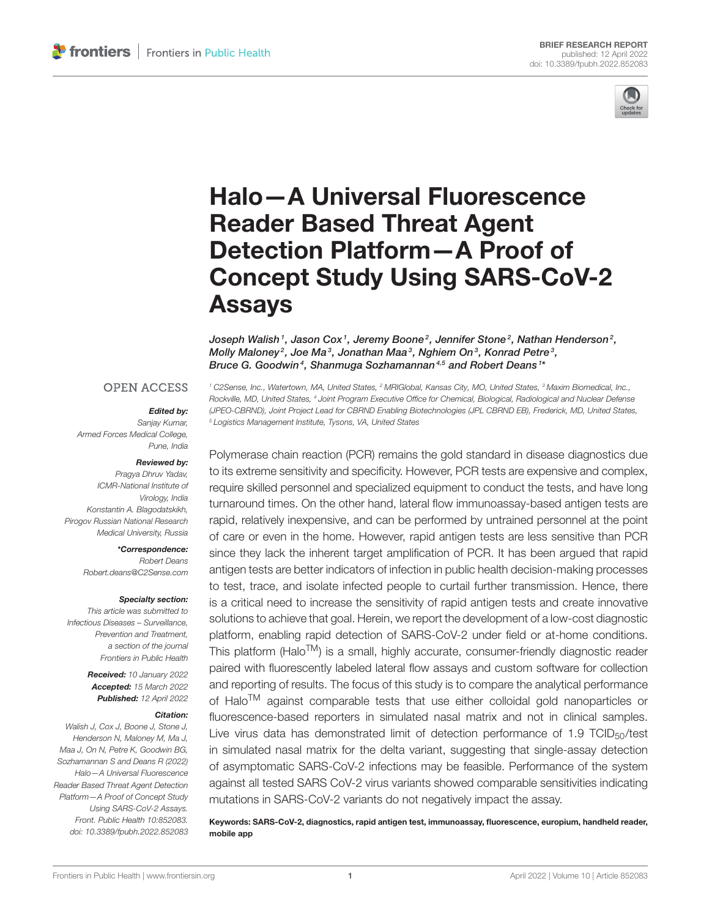

# Halo—A Universal Fluorescence Reader Based Threat Agent Detection Platform—A Proof of [Concept Study Using SARS-CoV-2](https://www.frontiersin.org/articles/10.3389/fpubh.2022.852083/full) Assays

Joseph Walish1, Jason Cox1, Jeremy Boone $^2$ , Jennifer Stone $^2$ , Nathan Henderson $^2$ , Molly Maloney<sup>2</sup>, Joe Ma<sup>3</sup>, Jonathan Maa<sup>3</sup>, Nghiem On<sup>3</sup>, Konrad Petre<sup>3</sup>, Bruce G. Goodwin<sup>4</sup>, Shanmuga Sozhamannan<sup>4,5</sup> and Robert Deans<sup>1\*</sup>

#### **OPEN ACCESS**

#### Edited by:

*Sanjay Kumar, Armed Forces Medical College, Pune, India*

#### Reviewed by:

*Pragya Dhruv Yadav, ICMR-National Institute of Virology, India Konstantin A. Blagodatskikh, Pirogov Russian National Research Medical University, Russia*

> \*Correspondence: *Robert Deans [Robert.deans@C2Sense.com](mailto:Robert.deans@C2Sense.com)*

#### Specialty section:

*This article was submitted to Infectious Diseases – Surveillance, Prevention and Treatment, a section of the journal Frontiers in Public Health*

> Received: *10 January 2022* Accepted: *15 March 2022* Published: *12 April 2022*

#### Citation:

*Walish J, Cox J, Boone J, Stone J, Henderson N, Maloney M, Ma J, Maa J, On N, Petre K, Goodwin BG, Sozhamannan S and Deans R (2022) Halo—A Universal Fluorescence Reader Based Threat Agent Detection Platform—A Proof of Concept Study Using SARS-CoV-2 Assays. Front. Public Health 10:852083. doi: [10.3389/fpubh.2022.852083](https://doi.org/10.3389/fpubh.2022.852083)*

*<sup>1</sup> C2Sense, Inc., Watertown, MA, United States, <sup>2</sup> MRIGlobal, Kansas City, MO, United States, <sup>3</sup> Maxim Biomedical, Inc., Rockville, MD, United States, <sup>4</sup> Joint Program Executive Office for Chemical, Biological, Radiological and Nuclear Defense (JPEO-CBRND), Joint Project Lead for CBRND Enabling Biotechnologies (JPL CBRND EB), Frederick, MD, United States, <sup>5</sup> Logistics Management Institute, Tysons, VA, United States*

Polymerase chain reaction (PCR) remains the gold standard in disease diagnostics due to its extreme sensitivity and specificity. However, PCR tests are expensive and complex, require skilled personnel and specialized equipment to conduct the tests, and have long turnaround times. On the other hand, lateral flow immunoassay-based antigen tests are rapid, relatively inexpensive, and can be performed by untrained personnel at the point of care or even in the home. However, rapid antigen tests are less sensitive than PCR since they lack the inherent target amplification of PCR. It has been argued that rapid antigen tests are better indicators of infection in public health decision-making processes to test, trace, and isolate infected people to curtail further transmission. Hence, there is a critical need to increase the sensitivity of rapid antigen tests and create innovative solutions to achieve that goal. Herein, we report the development of a low-cost diagnostic platform, enabling rapid detection of SARS-CoV-2 under field or at-home conditions. This platform (Halo<sup>TM</sup>) is a small, highly accurate, consumer-friendly diagnostic reader paired with fluorescently labeled lateral flow assays and custom software for collection and reporting of results. The focus of this study is to compare the analytical performance of Halo<sup>TM</sup> against comparable tests that use either colloidal gold nanoparticles or fluorescence-based reporters in simulated nasal matrix and not in clinical samples. Live virus data has demonstrated limit of detection performance of 1.9  $TCID_{50}/test$ in simulated nasal matrix for the delta variant, suggesting that single-assay detection of asymptomatic SARS-CoV-2 infections may be feasible. Performance of the system against all tested SARS CoV-2 virus variants showed comparable sensitivities indicating mutations in SARS-CoV-2 variants do not negatively impact the assay.

Keywords: SARS-CoV-2, diagnostics, rapid antigen test, immunoassay, fluorescence, europium, handheld reader, mobile app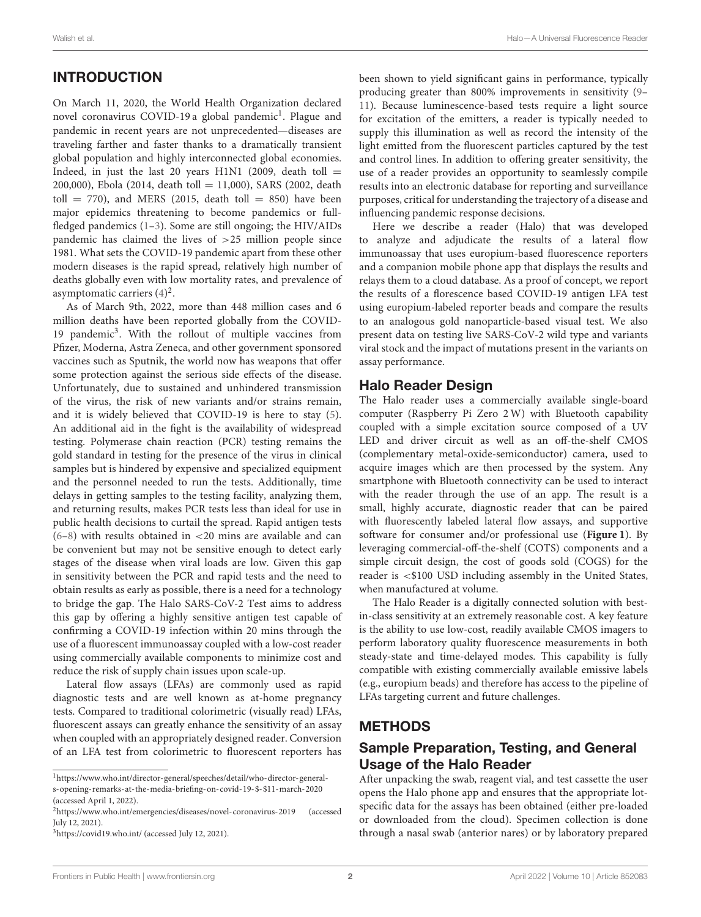#### Walish et al. Halo—A Universal Fluorescence Reader

# INTRODUCTION

On March 11, 2020, the World Health Organization declared novel coronavirus COVID-[1](#page-1-0)9 a global pandemic<sup>1</sup>. Plague and pandemic in recent years are not unprecedented—diseases are traveling farther and faster thanks to a dramatically transient global population and highly interconnected global economies. Indeed, in just the last 20 years H1N1 (2009, death toll  $=$ 200,000), Ebola (2014, death toll = 11,000), SARS (2002, death toll = 770), and MERS (2015, death toll = 850) have been major epidemics threatening to become pandemics or fullfledged pandemics  $(1-3)$  $(1-3)$ . Some are still ongoing; the HIV/AIDs pandemic has claimed the lives of >25 million people since 1981. What sets the COVID-19 pandemic apart from these other modern diseases is the rapid spread, relatively high number of deaths globally even with low mortality rates, and prevalence of asymptomatic carriers  $(4)^2$  $(4)^2$ .

As of March 9th, 2022, more than 448 million cases and 6 million deaths have been reported globally from the COVID-19 pandemic<sup>[3](#page-1-2)</sup>. With the rollout of multiple vaccines from Pfizer, Moderna, Astra Zeneca, and other government sponsored vaccines such as Sputnik, the world now has weapons that offer some protection against the serious side effects of the disease. Unfortunately, due to sustained and unhindered transmission of the virus, the risk of new variants and/or strains remain, and it is widely believed that COVID-19 is here to stay [\(5\)](#page-6-3). An additional aid in the fight is the availability of widespread testing. Polymerase chain reaction (PCR) testing remains the gold standard in testing for the presence of the virus in clinical samples but is hindered by expensive and specialized equipment and the personnel needed to run the tests. Additionally, time delays in getting samples to the testing facility, analyzing them, and returning results, makes PCR tests less than ideal for use in public health decisions to curtail the spread. Rapid antigen tests [\(6–](#page-6-4)[8\)](#page-6-5) with results obtained in <20 mins are available and can be convenient but may not be sensitive enough to detect early stages of the disease when viral loads are low. Given this gap in sensitivity between the PCR and rapid tests and the need to obtain results as early as possible, there is a need for a technology to bridge the gap. The Halo SARS-CoV-2 Test aims to address this gap by offering a highly sensitive antigen test capable of confirming a COVID-19 infection within 20 mins through the use of a fluorescent immunoassay coupled with a low-cost reader using commercially available components to minimize cost and reduce the risk of supply chain issues upon scale-up.

Lateral flow assays (LFAs) are commonly used as rapid diagnostic tests and are well known as at-home pregnancy tests. Compared to traditional colorimetric (visually read) LFAs, fluorescent assays can greatly enhance the sensitivity of an assay when coupled with an appropriately designed reader. Conversion of an LFA test from colorimetric to fluorescent reporters has been shown to yield significant gains in performance, typically producing greater than 800% improvements in sensitivity [\(9–](#page-6-6) [11\)](#page-6-7). Because luminescence-based tests require a light source for excitation of the emitters, a reader is typically needed to supply this illumination as well as record the intensity of the light emitted from the fluorescent particles captured by the test and control lines. In addition to offering greater sensitivity, the use of a reader provides an opportunity to seamlessly compile results into an electronic database for reporting and surveillance purposes, critical for understanding the trajectory of a disease and influencing pandemic response decisions.

Here we describe a reader (Halo) that was developed to analyze and adjudicate the results of a lateral flow immunoassay that uses europium-based fluorescence reporters and a companion mobile phone app that displays the results and relays them to a cloud database. As a proof of concept, we report the results of a florescence based COVID-19 antigen LFA test using europium-labeled reporter beads and compare the results to an analogous gold nanoparticle-based visual test. We also present data on testing live SARS-CoV-2 wild type and variants viral stock and the impact of mutations present in the variants on assay performance.

#### Halo Reader Design

The Halo reader uses a commercially available single-board computer (Raspberry Pi Zero 2 W) with Bluetooth capability coupled with a simple excitation source composed of a UV LED and driver circuit as well as an off-the-shelf CMOS (complementary metal-oxide-semiconductor) camera, used to acquire images which are then processed by the system. Any smartphone with Bluetooth connectivity can be used to interact with the reader through the use of an app. The result is a small, highly accurate, diagnostic reader that can be paired with fluorescently labeled lateral flow assays, and supportive software for consumer and/or professional use (**[Figure 1](#page-2-0)**). By leveraging commercial-off-the-shelf (COTS) components and a simple circuit design, the cost of goods sold (COGS) for the reader is <\$100 USD including assembly in the United States, when manufactured at volume.

The Halo Reader is a digitally connected solution with bestin-class sensitivity at an extremely reasonable cost. A key feature is the ability to use low-cost, readily available CMOS imagers to perform laboratory quality fluorescence measurements in both steady-state and time-delayed modes. This capability is fully compatible with existing commercially available emissive labels (e.g., europium beads) and therefore has access to the pipeline of LFAs targeting current and future challenges.

#### METHODS

#### Sample Preparation, Testing, and General Usage of the Halo Reader

After unpacking the swab, reagent vial, and test cassette the user opens the Halo phone app and ensures that the appropriate lotspecific data for the assays has been obtained (either pre-loaded or downloaded from the cloud). Specimen collection is done through a nasal swab (anterior nares) or by laboratory prepared

<span id="page-1-0"></span> $1$ [https://www.who.int/director-general/speeches/detail/who-director-general](https://www.who.int/director-general/speeches/detail/who-director-general-s-opening-remarks-at-the-media-briefing-on-covid-19-$-$11-march-2020)[s-opening-remarks-at-the-media-briefing-on-covid-19-\\$-\\$11-march-2020](https://www.who.int/director-general/speeches/detail/who-director-general-s-opening-remarks-at-the-media-briefing-on-covid-19-$-$11-march-2020) (accessed April 1, 2022).

<span id="page-1-1"></span><sup>2</sup><https://www.who.int/emergencies/diseases/novel-coronavirus-2019> (accessed July 12, 2021).

<span id="page-1-2"></span><sup>3</sup><https://covid19.who.int/> (accessed July 12, 2021).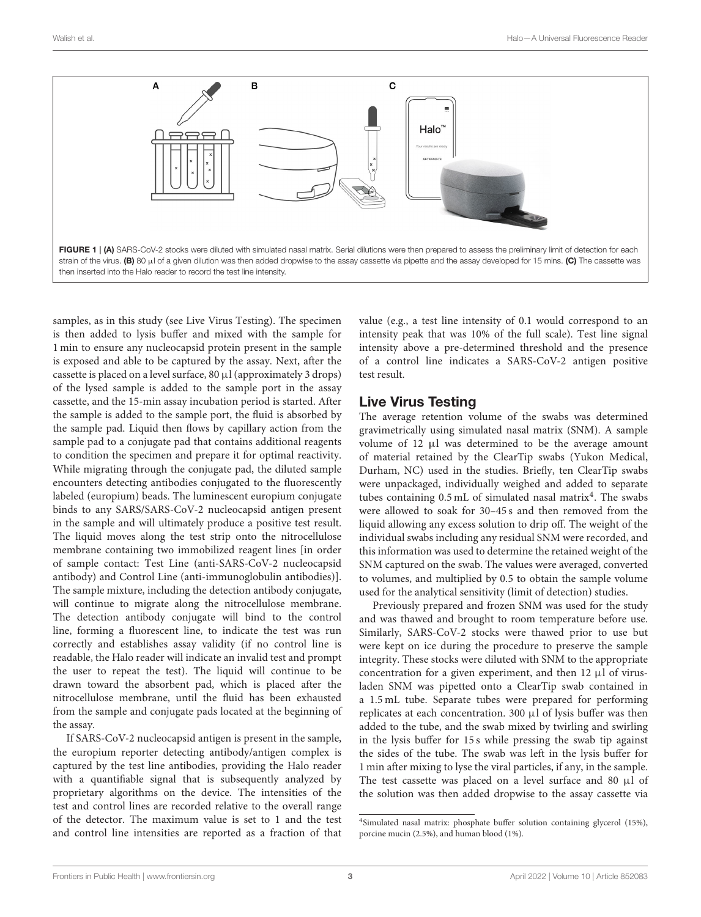

<span id="page-2-0"></span>samples, as in this study (see Live Virus Testing). The specimen is then added to lysis buffer and mixed with the sample for 1 min to ensure any nucleocapsid protein present in the sample is exposed and able to be captured by the assay. Next, after the cassette is placed on a level surface,  $80 \mu l$  (approximately 3 drops) of the lysed sample is added to the sample port in the assay cassette, and the 15-min assay incubation period is started. After the sample is added to the sample port, the fluid is absorbed by the sample pad. Liquid then flows by capillary action from the sample pad to a conjugate pad that contains additional reagents to condition the specimen and prepare it for optimal reactivity. While migrating through the conjugate pad, the diluted sample encounters detecting antibodies conjugated to the fluorescently labeled (europium) beads. The luminescent europium conjugate binds to any SARS/SARS-CoV-2 nucleocapsid antigen present in the sample and will ultimately produce a positive test result. The liquid moves along the test strip onto the nitrocellulose membrane containing two immobilized reagent lines [in order of sample contact: Test Line (anti-SARS-CoV-2 nucleocapsid antibody) and Control Line (anti-immunoglobulin antibodies)]. The sample mixture, including the detection antibody conjugate, will continue to migrate along the nitrocellulose membrane. The detection antibody conjugate will bind to the control line, forming a fluorescent line, to indicate the test was run correctly and establishes assay validity (if no control line is readable, the Halo reader will indicate an invalid test and prompt the user to repeat the test). The liquid will continue to be drawn toward the absorbent pad, which is placed after the nitrocellulose membrane, until the fluid has been exhausted from the sample and conjugate pads located at the beginning of the assay.

If SARS-CoV-2 nucleocapsid antigen is present in the sample, the europium reporter detecting antibody/antigen complex is captured by the test line antibodies, providing the Halo reader with a quantifiable signal that is subsequently analyzed by proprietary algorithms on the device. The intensities of the test and control lines are recorded relative to the overall range of the detector. The maximum value is set to 1 and the test and control line intensities are reported as a fraction of that value (e.g., a test line intensity of 0.1 would correspond to an intensity peak that was 10% of the full scale). Test line signal intensity above a pre-determined threshold and the presence of a control line indicates a SARS-CoV-2 antigen positive test result.

#### Live Virus Testing

The average retention volume of the swabs was determined gravimetrically using simulated nasal matrix (SNM). A sample volume of 12 µl was determined to be the average amount of material retained by the ClearTip swabs (Yukon Medical, Durham, NC) used in the studies. Briefly, ten ClearTip swabs were unpackaged, individually weighed and added to separate tubes containing  $0.5$  mL of simulated nasal matrix<sup>[4](#page-2-1)</sup>. The swabs were allowed to soak for 30–45 s and then removed from the liquid allowing any excess solution to drip off. The weight of the individual swabs including any residual SNM were recorded, and this information was used to determine the retained weight of the SNM captured on the swab. The values were averaged, converted to volumes, and multiplied by 0.5 to obtain the sample volume used for the analytical sensitivity (limit of detection) studies.

Previously prepared and frozen SNM was used for the study and was thawed and brought to room temperature before use. Similarly, SARS-CoV-2 stocks were thawed prior to use but were kept on ice during the procedure to preserve the sample integrity. These stocks were diluted with SNM to the appropriate concentration for a given experiment, and then  $12 \mu l$  of virusladen SNM was pipetted onto a ClearTip swab contained in a 1.5 mL tube. Separate tubes were prepared for performing replicates at each concentration. 300 µl of lysis buffer was then added to the tube, and the swab mixed by twirling and swirling in the lysis buffer for 15 s while pressing the swab tip against the sides of the tube. The swab was left in the lysis buffer for 1 min after mixing to lyse the viral particles, if any, in the sample. The test cassette was placed on a level surface and 80 µl of the solution was then added dropwise to the assay cassette via

<span id="page-2-1"></span><sup>4</sup> Simulated nasal matrix: phosphate buffer solution containing glycerol (15%), porcine mucin (2.5%), and human blood (1%).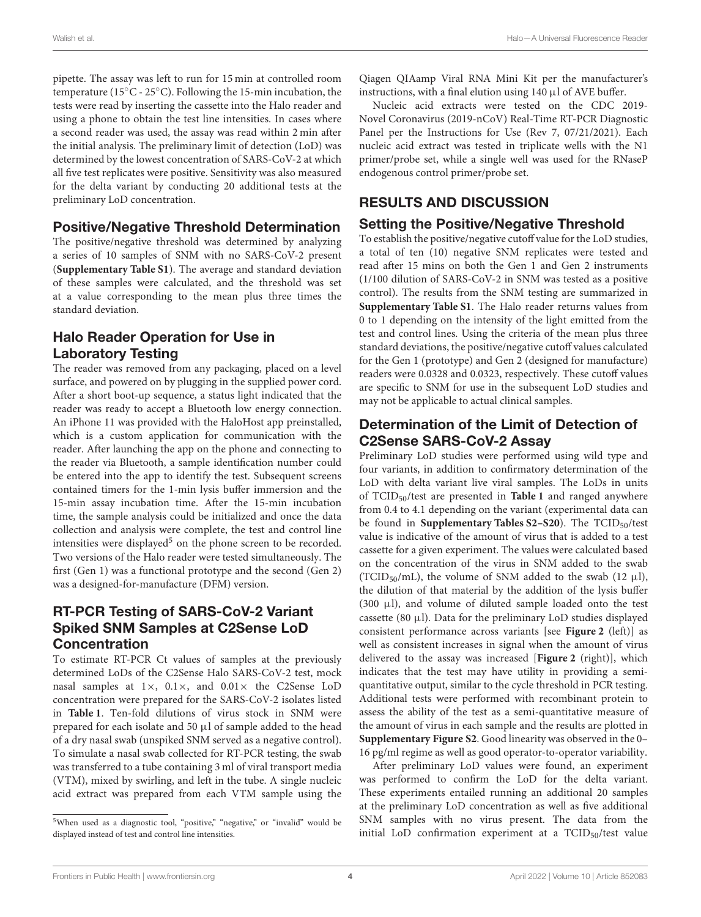pipette. The assay was left to run for 15 min at controlled room temperature (15◦C - 25◦C). Following the 15-min incubation, the tests were read by inserting the cassette into the Halo reader and using a phone to obtain the test line intensities. In cases where a second reader was used, the assay was read within 2 min after the initial analysis. The preliminary limit of detection (LoD) was determined by the lowest concentration of SARS-CoV-2 at which all five test replicates were positive. Sensitivity was also measured for the delta variant by conducting 20 additional tests at the preliminary LoD concentration.

#### Positive/Negative Threshold Determination

The positive/negative threshold was determined by analyzing a series of 10 samples of SNM with no SARS-CoV-2 present (**[Supplementary Table S1](#page-6-8)**). The average and standard deviation of these samples were calculated, and the threshold was set at a value corresponding to the mean plus three times the standard deviation.

# Halo Reader Operation for Use in Laboratory Testing

The reader was removed from any packaging, placed on a level surface, and powered on by plugging in the supplied power cord. After a short boot-up sequence, a status light indicated that the reader was ready to accept a Bluetooth low energy connection. An iPhone 11 was provided with the HaloHost app preinstalled, which is a custom application for communication with the reader. After launching the app on the phone and connecting to the reader via Bluetooth, a sample identification number could be entered into the app to identify the test. Subsequent screens contained timers for the 1-min lysis buffer immersion and the 15-min assay incubation time. After the 15-min incubation time, the sample analysis could be initialized and once the data collection and analysis were complete, the test and control line intensities were displayed<sup>[5](#page-3-0)</sup> on the phone screen to be recorded. Two versions of the Halo reader were tested simultaneously. The first (Gen 1) was a functional prototype and the second (Gen 2) was a designed-for-manufacture (DFM) version.

### RT-PCR Testing of SARS-CoV-2 Variant Spiked SNM Samples at C2Sense LoD Concentration

To estimate RT-PCR Ct values of samples at the previously determined LoDs of the C2Sense Halo SARS-CoV-2 test, mock nasal samples at  $1 \times$ ,  $0.1 \times$ , and  $0.01 \times$  the C2Sense LoD concentration were prepared for the SARS-CoV-2 isolates listed in **[Table 1](#page-4-0)**. Ten-fold dilutions of virus stock in SNM were prepared for each isolate and 50 µl of sample added to the head of a dry nasal swab (unspiked SNM served as a negative control). To simulate a nasal swab collected for RT-PCR testing, the swab was transferred to a tube containing 3 ml of viral transport media (VTM), mixed by swirling, and left in the tube. A single nucleic acid extract was prepared from each VTM sample using the Qiagen QIAamp Viral RNA Mini Kit per the manufacturer's instructions, with a final elution using 140 µl of AVE buffer.

Nucleic acid extracts were tested on the CDC 2019- Novel Coronavirus (2019-nCoV) Real-Time RT-PCR Diagnostic Panel per the Instructions for Use (Rev 7, 07/21/2021). Each nucleic acid extract was tested in triplicate wells with the N1 primer/probe set, while a single well was used for the RNaseP endogenous control primer/probe set.

# RESULTS AND DISCUSSION

#### Setting the Positive/Negative Threshold

To establish the positive/negative cutoff value for the LoD studies, a total of ten (10) negative SNM replicates were tested and read after 15 mins on both the Gen 1 and Gen 2 instruments (1/100 dilution of SARS-CoV-2 in SNM was tested as a positive control). The results from the SNM testing are summarized in **[Supplementary Table S1](#page-6-8)**. The Halo reader returns values from 0 to 1 depending on the intensity of the light emitted from the test and control lines. Using the criteria of the mean plus three standard deviations, the positive/negative cutoff values calculated for the Gen 1 (prototype) and Gen 2 (designed for manufacture) readers were 0.0328 and 0.0323, respectively. These cutoff values are specific to SNM for use in the subsequent LoD studies and may not be applicable to actual clinical samples.

### Determination of the Limit of Detection of C2Sense SARS-CoV-2 Assay

Preliminary LoD studies were performed using wild type and four variants, in addition to confirmatory determination of the LoD with delta variant live viral samples. The LoDs in units of TCID50/test are presented in **[Table 1](#page-4-0)** and ranged anywhere from 0.4 to 4.1 depending on the variant (experimental data can be found in **[Supplementary Tables S2–S20](#page-6-8)**). The TCID<sub>50</sub>/test value is indicative of the amount of virus that is added to a test cassette for a given experiment. The values were calculated based on the concentration of the virus in SNM added to the swab (TCID<sub>50</sub>/mL), the volume of SNM added to the swab (12  $\mu$ l), the dilution of that material by the addition of the lysis buffer  $(300 \mu l)$ , and volume of diluted sample loaded onto the test cassette (80  $\mu$ l). Data for the preliminary LoD studies displayed consistent performance across variants [see **[Figure 2](#page-4-1)** (left)] as well as consistent increases in signal when the amount of virus delivered to the assay was increased [**[Figure 2](#page-4-1)** (right)], which indicates that the test may have utility in providing a semiquantitative output, similar to the cycle threshold in PCR testing. Additional tests were performed with recombinant protein to assess the ability of the test as a semi-quantitative measure of the amount of virus in each sample and the results are plotted in **[Supplementary Figure S2](#page-6-8)**. Good linearity was observed in the 0– 16 pg/ml regime as well as good operator-to-operator variability.

After preliminary LoD values were found, an experiment was performed to confirm the LoD for the delta variant. These experiments entailed running an additional 20 samples at the preliminary LoD concentration as well as five additional SNM samples with no virus present. The data from the initial LoD confirmation experiment at a  $TCID_{50}/test$  value

<span id="page-3-0"></span><sup>5</sup>When used as a diagnostic tool, "positive," "negative," or "invalid" would be displayed instead of test and control line intensities.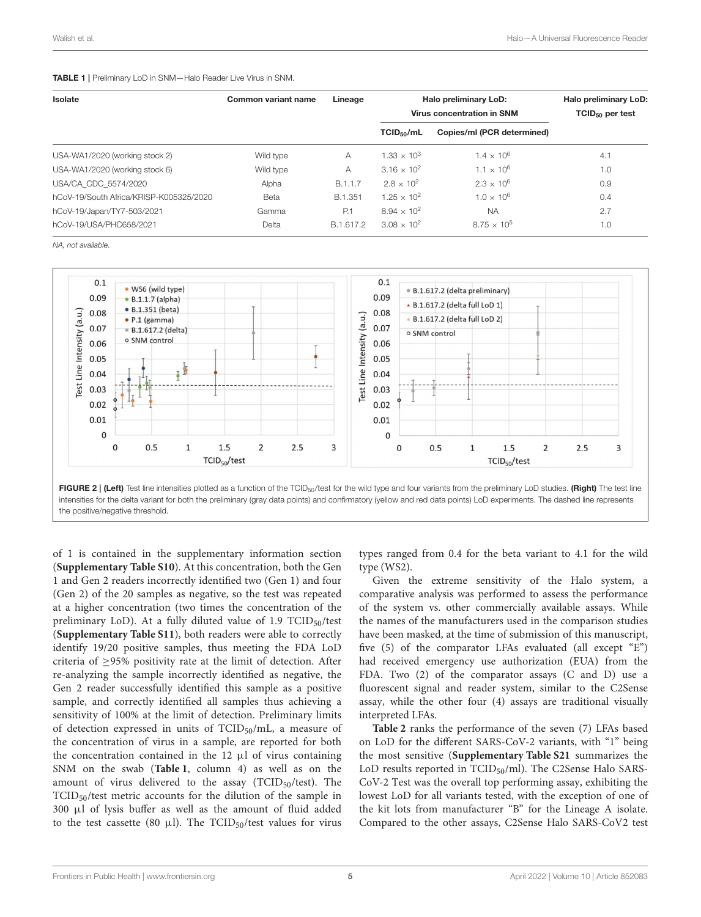#### <span id="page-4-0"></span>TABLE 1 | Preliminary LoD in SNM—Halo Reader Live Virus in SNM.

| <b>Isolate</b>                          | <b>Common variant name</b> | Lineage   |                        | Halo preliminary LoD:<br>Virus concentration in SNM | Halo preliminary LoD:<br>$TCID50$ per test |
|-----------------------------------------|----------------------------|-----------|------------------------|-----------------------------------------------------|--------------------------------------------|
|                                         |                            |           | TCID <sub>50</sub> /mL | Copies/ml (PCR determined)                          |                                            |
| USA-WA1/2020 (working stock 2)          | Wild type                  | Α         | $1.33 \times 10^{3}$   | $1.4 \times 10^{6}$                                 | 4.1                                        |
| USA-WA1/2020 (working stock 6)          | Wild type                  | Α         | $3.16 \times 10^{2}$   | $1.1 \times 10^{6}$                                 | 1.0                                        |
| USA/CA CDC 5574/2020                    | Alpha                      | B.1.1.7   | $2.8 \times 10^{2}$    | $2.3 \times 10^{6}$                                 | 0.9                                        |
| hCoV-19/South Africa/KRISP-K005325/2020 | Beta                       | B.1.351   | $1.25 \times 10^{2}$   | $1.0 \times 10^{6}$                                 | 0.4                                        |
| hCoV-19/Japan/TY7-503/2021              | Gamma                      | P.1       | $8.94 \times 10^{2}$   | <b>NA</b>                                           | 2.7                                        |
| hCoV-19/USA/PHC658/2021                 | Delta                      | B.1.617.2 | $3.08 \times 10^{2}$   | $8.75 \times 10^{5}$                                | 1.0                                        |

*NA, not available.*



<span id="page-4-1"></span>the positive/negative threshold.

of 1 is contained in the supplementary information section (**[Supplementary Table S10](#page-6-8)**). At this concentration, both the Gen 1 and Gen 2 readers incorrectly identified two (Gen 1) and four (Gen 2) of the 20 samples as negative, so the test was repeated at a higher concentration (two times the concentration of the preliminary LoD). At a fully diluted value of 1.9 TCID<sub>50</sub>/test (**[Supplementary Table S11](#page-6-8)**), both readers were able to correctly identify 19/20 positive samples, thus meeting the FDA LoD criteria of ≥95% positivity rate at the limit of detection. After re-analyzing the sample incorrectly identified as negative, the Gen 2 reader successfully identified this sample as a positive sample, and correctly identified all samples thus achieving a sensitivity of 100% at the limit of detection. Preliminary limits of detection expressed in units of TCID<sub>50</sub>/mL, a measure of the concentration of virus in a sample, are reported for both the concentration contained in the  $12 \mu l$  of virus containing SNM on the swab (**[Table 1](#page-4-0)**, column 4) as well as on the amount of virus delivered to the assay ( $TCID_{50}/test$ ). The TCID50/test metric accounts for the dilution of the sample in 300 µl of lysis buffer as well as the amount of fluid added to the test cassette (80  $\mu$ l). The TCID<sub>50</sub>/test values for virus types ranged from 0.4 for the beta variant to 4.1 for the wild type (WS2).

Given the extreme sensitivity of the Halo system, a comparative analysis was performed to assess the performance of the system vs. other commercially available assays. While the names of the manufacturers used in the comparison studies have been masked, at the time of submission of this manuscript, five (5) of the comparator LFAs evaluated (all except "E") had received emergency use authorization (EUA) from the FDA. Two (2) of the comparator assays (C and D) use a fluorescent signal and reader system, similar to the C2Sense assay, while the other four (4) assays are traditional visually interpreted LFAs.

**[Table 2](#page-5-0)** ranks the performance of the seven (7) LFAs based on LoD for the different SARS-CoV-2 variants, with "1" being the most sensitive (**[Supplementary Table S21](#page-6-8)** summarizes the LoD results reported in TCID<sub>50</sub>/ml). The C2Sense Halo SARS-CoV-2 Test was the overall top performing assay, exhibiting the lowest LoD for all variants tested, with the exception of one of the kit lots from manufacturer "B" for the Lineage A isolate. Compared to the other assays, C2Sense Halo SARS-CoV2 test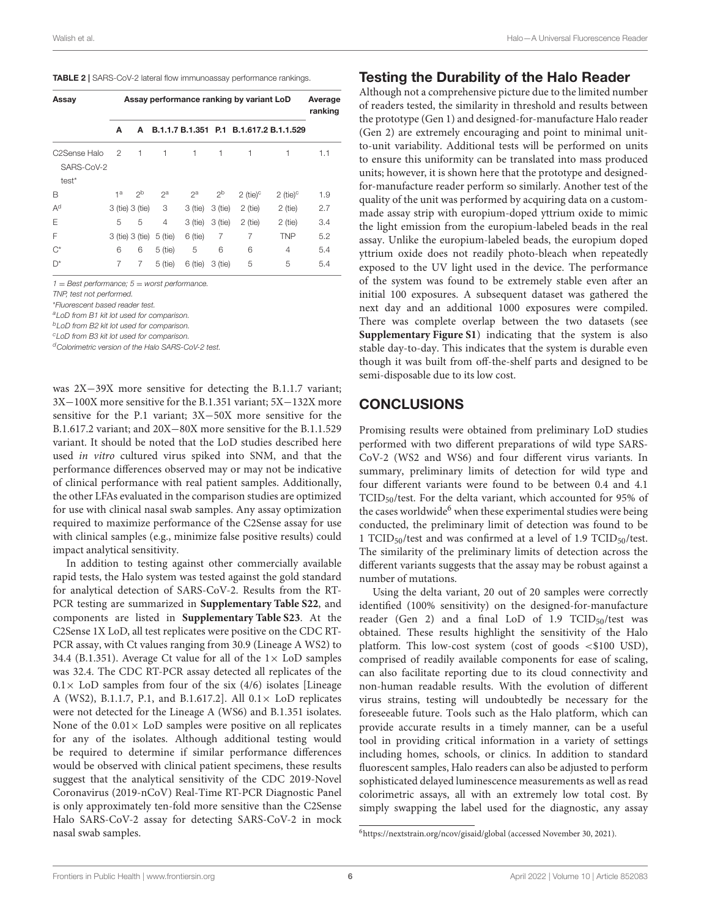<span id="page-5-0"></span>

| Assay                               | Assay performance ranking by variant LoD | Average<br>ranking |           |                            |                |                        |                        |     |
|-------------------------------------|------------------------------------------|--------------------|-----------|----------------------------|----------------|------------------------|------------------------|-----|
|                                     | A                                        | A                  |           | <b>B.1.1.7 B.1.351 P.1</b> |                |                        | B.1.617.2 B.1.1.529    |     |
| C2Sense Halo<br>SARS-CoV-2<br>test* | 2                                        | 1                  | 1         | 1                          | 1              | 1                      | 1                      | 1.1 |
| B                                   | 1 <sup>a</sup>                           | 2p                 | $2^a$     | $2^a$                      | 2 <sup>b</sup> | $2$ (tie) <sup>c</sup> | $2$ (tie) <sup>c</sup> | 1.9 |
| A <sup>d</sup>                      |                                          | 3 (tie) 3 (tie)    | 3         | 3 (tie)                    | $3$ (tie)      | $2$ (tie)              | $2$ (tie)              | 2.7 |
| E                                   | 5                                        | 5                  | 4         | $3$ (tie)                  | 3 (tie)        | $2$ (tie)              | $2$ (tie)              | 3.4 |
| F                                   |                                          | 3 (tie) 3 (tie)    | 5 (tie)   | $6$ (tie)                  | 7              | 7                      | <b>TNP</b>             | 5.2 |
| $C^*$                               | 6                                        | 6                  | 5 (tie)   | 5                          | 6              | 6                      | 4                      | 5.4 |
| $D^*$                               | 7                                        | 7                  | $5$ (tie) | $6$ (tie)                  | 3 (tie)        | 5                      | 5                      | 5.4 |

*1* = *Best performance; 5* = *worst performance.*

*TNP, test not performed.*

\**Fluorescent based reader test.*

*<sup>a</sup>LoD from B1 kit lot used for comparison.*

*<sup>b</sup>LoD from B2 kit lot used for comparison.*

*<sup>c</sup>LoD from B3 kit lot used for comparison.*

*<sup>d</sup>Colorimetric version of the Halo SARS-CoV-2 test.*

was 2X−39X more sensitive for detecting the B.1.1.7 variant; 3X−100X more sensitive for the B.1.351 variant; 5X−132X more sensitive for the P.1 variant; 3X−50X more sensitive for the B.1.617.2 variant; and 20X−80X more sensitive for the B.1.1.529 variant. It should be noted that the LoD studies described here used in vitro cultured virus spiked into SNM, and that the performance differences observed may or may not be indicative of clinical performance with real patient samples. Additionally, the other LFAs evaluated in the comparison studies are optimized for use with clinical nasal swab samples. Any assay optimization required to maximize performance of the C2Sense assay for use with clinical samples (e.g., minimize false positive results) could impact analytical sensitivity.

In addition to testing against other commercially available rapid tests, the Halo system was tested against the gold standard for analytical detection of SARS-CoV-2. Results from the RT-PCR testing are summarized in **[Supplementary Table S22](#page-6-8)**, and components are listed in **[Supplementary Table S23](#page-6-8)**. At the C2Sense 1X LoD, all test replicates were positive on the CDC RT-PCR assay, with Ct values ranging from 30.9 (Lineage A WS2) to 34.4 (B.1.351). Average Ct value for all of the  $1 \times$  LoD samples was 32.4. The CDC RT-PCR assay detected all replicates of the  $0.1 \times$  LoD samples from four of the six (4/6) isolates [Lineage A (WS2), B.1.1.7, P.1, and B.1.617.2]. All  $0.1 \times$  LoD replicates were not detected for the Lineage A (WS6) and B.1.351 isolates. None of the  $0.01 \times$  LoD samples were positive on all replicates for any of the isolates. Although additional testing would be required to determine if similar performance differences would be observed with clinical patient specimens, these results suggest that the analytical sensitivity of the CDC 2019-Novel Coronavirus (2019-nCoV) Real-Time RT-PCR Diagnostic Panel is only approximately ten-fold more sensitive than the C2Sense Halo SARS-CoV-2 assay for detecting SARS-CoV-2 in mock nasal swab samples.

#### Testing the Durability of the Halo Reader

Although not a comprehensive picture due to the limited number of readers tested, the similarity in threshold and results between the prototype (Gen 1) and designed-for-manufacture Halo reader (Gen 2) are extremely encouraging and point to minimal unitto-unit variability. Additional tests will be performed on units to ensure this uniformity can be translated into mass produced units; however, it is shown here that the prototype and designedfor-manufacture reader perform so similarly. Another test of the quality of the unit was performed by acquiring data on a custommade assay strip with europium-doped yttrium oxide to mimic the light emission from the europium-labeled beads in the real assay. Unlike the europium-labeled beads, the europium doped yttrium oxide does not readily photo-bleach when repeatedly exposed to the UV light used in the device. The performance of the system was found to be extremely stable even after an initial 100 exposures. A subsequent dataset was gathered the next day and an additional 1000 exposures were compiled. There was complete overlap between the two datasets (see **[Supplementary Figure S1](#page-6-8)**) indicating that the system is also stable day-to-day. This indicates that the system is durable even though it was built from off-the-shelf parts and designed to be semi-disposable due to its low cost.

#### CONCLUSIONS

Promising results were obtained from preliminary LoD studies performed with two different preparations of wild type SARS-CoV-2 (WS2 and WS6) and four different virus variants. In summary, preliminary limits of detection for wild type and four different variants were found to be between 0.4 and 4.1 TCID<sub>50</sub>/test. For the delta variant, which accounted for 95% of the cases worldwide<sup>[6](#page-5-1)</sup> when these experimental studies were being conducted, the preliminary limit of detection was found to be 1 TCID $_{50}$ /test and was confirmed at a level of 1.9 TCID $_{50}$ /test. The similarity of the preliminary limits of detection across the different variants suggests that the assay may be robust against a number of mutations.

Using the delta variant, 20 out of 20 samples were correctly identified (100% sensitivity) on the designed-for-manufacture reader (Gen 2) and a final LoD of  $1.9$  TCID<sub>50</sub>/test was obtained. These results highlight the sensitivity of the Halo platform. This low-cost system (cost of goods <\$100 USD), comprised of readily available components for ease of scaling, can also facilitate reporting due to its cloud connectivity and non-human readable results. With the evolution of different virus strains, testing will undoubtedly be necessary for the foreseeable future. Tools such as the Halo platform, which can provide accurate results in a timely manner, can be a useful tool in providing critical information in a variety of settings including homes, schools, or clinics. In addition to standard fluorescent samples, Halo readers can also be adjusted to perform sophisticated delayed luminescence measurements as well as read colorimetric assays, all with an extremely low total cost. By simply swapping the label used for the diagnostic, any assay

<span id="page-5-1"></span><sup>6</sup><https://nextstrain.org/ncov/gisaid/global> (accessed November 30, 2021).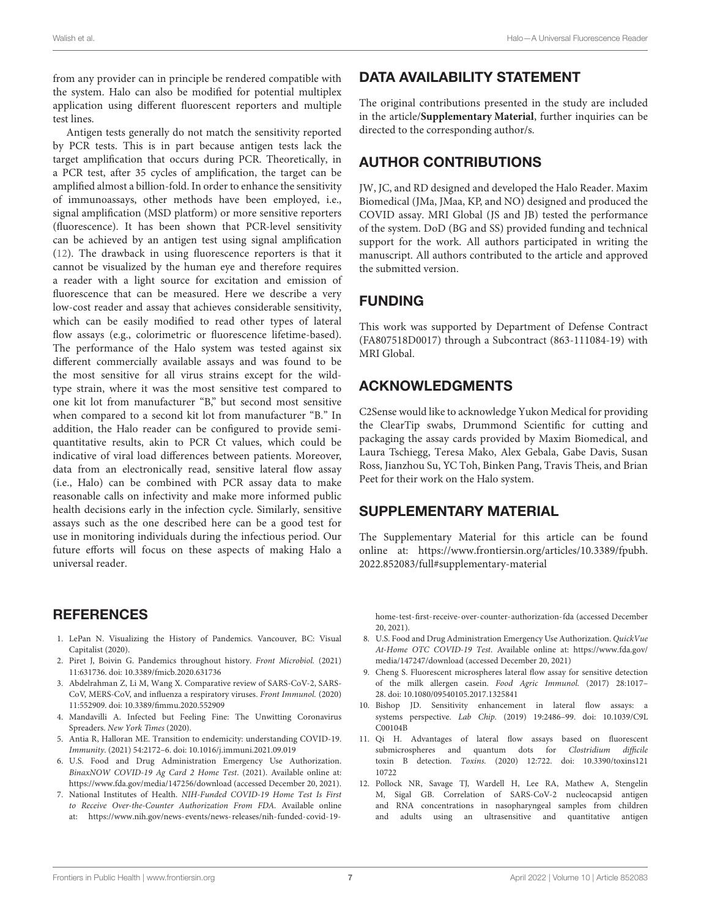from any provider can in principle be rendered compatible with the system. Halo can also be modified for potential multiplex application using different fluorescent reporters and multiple test lines.

Antigen tests generally do not match the sensitivity reported by PCR tests. This is in part because antigen tests lack the target amplification that occurs during PCR. Theoretically, in a PCR test, after 35 cycles of amplification, the target can be amplified almost a billion-fold. In order to enhance the sensitivity of immunoassays, other methods have been employed, i.e., signal amplification (MSD platform) or more sensitive reporters (fluorescence). It has been shown that PCR-level sensitivity can be achieved by an antigen test using signal amplification [\(12\)](#page-6-9). The drawback in using fluorescence reporters is that it cannot be visualized by the human eye and therefore requires a reader with a light source for excitation and emission of fluorescence that can be measured. Here we describe a very low-cost reader and assay that achieves considerable sensitivity, which can be easily modified to read other types of lateral flow assays (e.g., colorimetric or fluorescence lifetime-based). The performance of the Halo system was tested against six different commercially available assays and was found to be the most sensitive for all virus strains except for the wildtype strain, where it was the most sensitive test compared to one kit lot from manufacturer "B," but second most sensitive when compared to a second kit lot from manufacturer "B." In addition, the Halo reader can be configured to provide semiquantitative results, akin to PCR Ct values, which could be indicative of viral load differences between patients. Moreover, data from an electronically read, sensitive lateral flow assay (i.e., Halo) can be combined with PCR assay data to make reasonable calls on infectivity and make more informed public health decisions early in the infection cycle. Similarly, sensitive assays such as the one described here can be a good test for use in monitoring individuals during the infectious period. Our future efforts will focus on these aspects of making Halo a universal reader.

### **REFERENCES**

- <span id="page-6-0"></span>1. LePan N. Visualizing the History of Pandemics. Vancouver, BC: Visual Capitalist (2020).
- 2. Piret J, Boivin G. Pandemics throughout history. Front Microbiol. (2021) 11:631736. doi: [10.3389/fmicb.2020.631736](https://doi.org/10.3389/fmicb.2020.631736)
- <span id="page-6-1"></span>3. Abdelrahman Z, Li M, Wang X. Comparative review of SARS-CoV-2, SARS-CoV, MERS-CoV, and influenza a respiratory viruses. Front Immunol. (2020) 11:552909. doi: [10.3389/fimmu.2020.552909](https://doi.org/10.3389/fimmu.2020.552909)
- <span id="page-6-2"></span>4. Mandavilli A. Infected but Feeling Fine: The Unwitting Coronavirus Spreaders. New York Times (2020).
- <span id="page-6-3"></span>5. Antia R, Halloran ME. Transition to endemicity: understanding COVID-19. Immunity. (2021) 54:2172–6. doi: [10.1016/j.immuni.2021.09.019](https://doi.org/10.1016/j.immuni.2021.09.019)
- <span id="page-6-4"></span>6. U.S. Food and Drug Administration Emergency Use Authorization. BinaxNOW COVID-19 Ag Card 2 Home Test. (2021). Available online at: <https://www.fda.gov/media/147256/download> (accessed December 20, 2021).
- 7. National Institutes of Health. NIH-Funded COVID-19 Home Test Is First to Receive Over-the-Counter Authorization From FDA. Available online at: [https://www.nih.gov/news-events/news-releases/nih-funded-covid-19-](https://www.nih.gov/news-events/news-releases/nih-funded-covid-19-home-test-first-receive-over-counter-authorization-fda)

### DATA AVAILABILITY STATEMENT

The original contributions presented in the study are included in the article/**[Supplementary Material](#page-6-8)**, further inquiries can be directed to the corresponding author/s.

# AUTHOR CONTRIBUTIONS

JW, JC, and RD designed and developed the Halo Reader. Maxim Biomedical (JMa, JMaa, KP, and NO) designed and produced the COVID assay. MRI Global (JS and JB) tested the performance of the system. DoD (BG and SS) provided funding and technical support for the work. All authors participated in writing the manuscript. All authors contributed to the article and approved the submitted version.

# FUNDING

This work was supported by Department of Defense Contract (FA807518D0017) through a Subcontract (863-111084-19) with MRI Global.

#### ACKNOWLEDGMENTS

C2Sense would like to acknowledge Yukon Medical for providing the ClearTip swabs, Drummond Scientific for cutting and packaging the assay cards provided by Maxim Biomedical, and Laura Tschiegg, Teresa Mako, Alex Gebala, Gabe Davis, Susan Ross, Jianzhou Su, YC Toh, Binken Pang, Travis Theis, and Brian Peet for their work on the Halo system.

#### SUPPLEMENTARY MATERIAL

<span id="page-6-8"></span>The Supplementary Material for this article can be found [online at: https://www.frontiersin.org/articles/10.3389/fpubh.](https://www.frontiersin.org/articles/10.3389/fpubh.2022.852083/full#supplementary-material) 2022.852083/full#supplementary-material

[home-test-first-receive-over-counter-authorization-fda](https://www.nih.gov/news-events/news-releases/nih-funded-covid-19-home-test-first-receive-over-counter-authorization-fda) (accessed December 20, 2021).

- <span id="page-6-5"></span>8. U.S. Food and Drug Administration Emergency Use Authorization. QuickVue At-Home OTC COVID-19 Test. Available online at: [https://www.fda.gov/](https://www.fda.gov/media/147247/download) [media/147247/download](https://www.fda.gov/media/147247/download) (accessed December 20, 2021)
- <span id="page-6-6"></span>9. Cheng S. Fluorescent microspheres lateral flow assay for sensitive detection of the milk allergen casein. Food Agric Immunol. (2017) 28:1017– 28. doi: [10.1080/09540105.2017.1325841](https://doi.org/10.1080/09540105.2017.1325841)
- 10. Bishop JD. Sensitivity enhancement in lateral flow assays: a systems perspective. Lab Chip. [\(2019\) 19:2486–99. doi: 10.1039/C9L](https://doi.org/10.1039/C9LC00104B) C00104B
- <span id="page-6-7"></span>11. Qi H. Advantages of lateral flow assays based on fluorescent submicrospheres and quantum dots for Clostridium difficile toxin B detection. Toxins. [\(2020\) 12:722. doi: 10.3390/toxins121](https://doi.org/10.3390/toxins12110722) 10722
- <span id="page-6-9"></span>12. Pollock NR, Savage TJ, Wardell H, Lee RA, Mathew A, Stengelin M, Sigal GB. Correlation of SARS-CoV-2 nucleocapsid antigen and RNA concentrations in nasopharyngeal samples from children and adults using an ultrasensitive and quantitative antigen